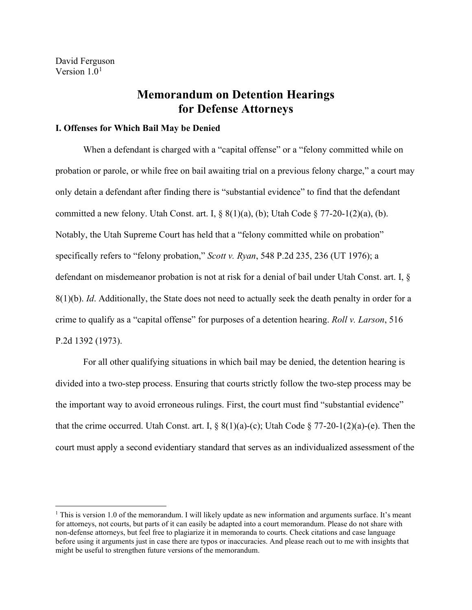David Ferguson Version  $1.0<sup>1</sup>$  $1.0<sup>1</sup>$ 

# **Memorandum on Detention Hearings for Defense Attorneys**

## **I. Offenses for Which Bail May be Denied**

When a defendant is charged with a "capital offense" or a "felony committed while on probation or parole, or while free on bail awaiting trial on a previous felony charge," a court may only detain a defendant after finding there is "substantial evidence" to find that the defendant committed a new felony. Utah Const. art. I,  $\S 8(1)(a)$ , (b); Utah Code  $\S 77-20-1(2)(a)$ , (b). Notably, the Utah Supreme Court has held that a "felony committed while on probation" specifically refers to "felony probation," *Scott v. Ryan*, 548 P.2d 235, 236 (UT 1976); a defendant on misdemeanor probation is not at risk for a denial of bail under Utah Const. art. I, § 8(1)(b). *Id*. Additionally, the State does not need to actually seek the death penalty in order for a crime to qualify as a "capital offense" for purposes of a detention hearing. *Roll v. Larson*, 516 P.2d 1392 (1973).

For all other qualifying situations in which bail may be denied, the detention hearing is divided into a two-step process. Ensuring that courts strictly follow the two-step process may be the important way to avoid erroneous rulings. First, the court must find "substantial evidence" that the crime occurred. Utah Const. art. I,  $\S 8(1)(a)-(c)$ ; Utah Code  $\S 77-20-1(2)(a)-(e)$ . Then the court must apply a second evidentiary standard that serves as an individualized assessment of the

<span id="page-0-0"></span><sup>&</sup>lt;sup>1</sup> This is version 1.0 of the memorandum. I will likely update as new information and arguments surface. It's meant for attorneys, not courts, but parts of it can easily be adapted into a court memorandum. Please do not share with non-defense attorneys, but feel free to plagiarize it in memoranda to courts. Check citations and case language before using it arguments just in case there are typos or inaccuracies. And please reach out to me with insights that might be useful to strengthen future versions of the memorandum.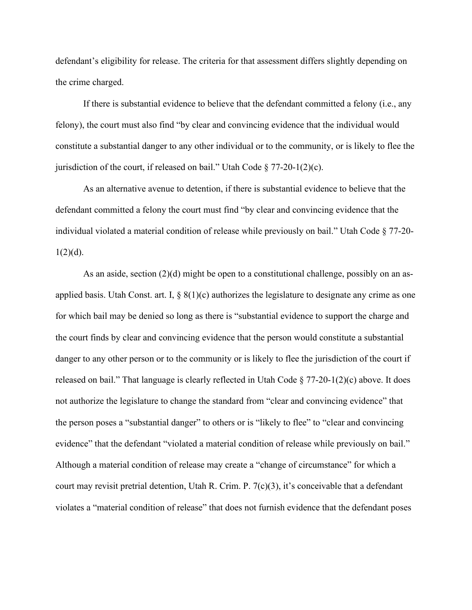defendant's eligibility for release. The criteria for that assessment differs slightly depending on the crime charged.

If there is substantial evidence to believe that the defendant committed a felony (i.e., any felony), the court must also find "by clear and convincing evidence that the individual would constitute a substantial danger to any other individual or to the community, or is likely to flee the jurisdiction of the court, if released on bail." Utah Code  $\S 77-20-1(2)(c)$ .

As an alternative avenue to detention, if there is substantial evidence to believe that the defendant committed a felony the court must find "by clear and convincing evidence that the individual violated a material condition of release while previously on bail." Utah Code § 77-20-  $1(2)(d)$ .

As an aside, section (2)(d) might be open to a constitutional challenge, possibly on an asapplied basis. Utah Const. art. I,  $\S 8(1)(c)$  authorizes the legislature to designate any crime as one for which bail may be denied so long as there is "substantial evidence to support the charge and the court finds by clear and convincing evidence that the person would constitute a substantial danger to any other person or to the community or is likely to flee the jurisdiction of the court if released on bail." That language is clearly reflected in Utah Code  $\S$  77-20-1(2)(c) above. It does not authorize the legislature to change the standard from "clear and convincing evidence" that the person poses a "substantial danger" to others or is "likely to flee" to "clear and convincing evidence" that the defendant "violated a material condition of release while previously on bail." Although a material condition of release may create a "change of circumstance" for which a court may revisit pretrial detention, Utah R. Crim. P. 7(c)(3), it's conceivable that a defendant violates a "material condition of release" that does not furnish evidence that the defendant poses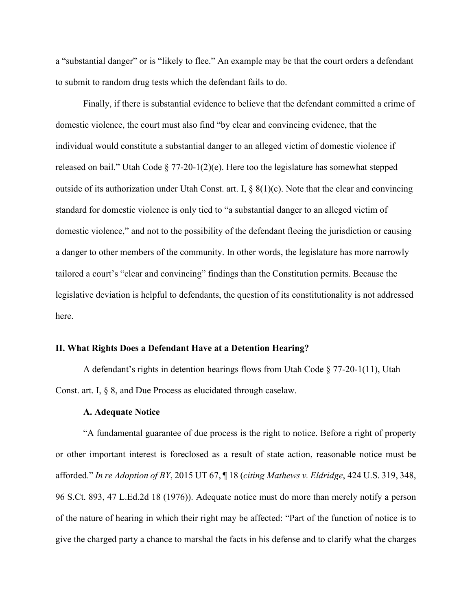a "substantial danger" or is "likely to flee." An example may be that the court orders a defendant to submit to random drug tests which the defendant fails to do.

Finally, if there is substantial evidence to believe that the defendant committed a crime of domestic violence, the court must also find "by clear and convincing evidence, that the individual would constitute a substantial danger to an alleged victim of domestic violence if released on bail." Utah Code  $\S 77-20-1(2)(e)$ . Here too the legislature has somewhat stepped outside of its authorization under Utah Const. art. I,  $\S 8(1)(c)$ . Note that the clear and convincing standard for domestic violence is only tied to "a substantial danger to an alleged victim of domestic violence," and not to the possibility of the defendant fleeing the jurisdiction or causing a danger to other members of the community. In other words, the legislature has more narrowly tailored a court's "clear and convincing" findings than the Constitution permits. Because the legislative deviation is helpful to defendants, the question of its constitutionality is not addressed here.

## **II. What Rights Does a Defendant Have at a Detention Hearing?**

A defendant's rights in detention hearings flows from Utah Code § 77-20-1(11), Utah Const. art. I, § 8, and Due Process as elucidated through caselaw.

### **A. Adequate Notice**

"A fundamental guarantee of due process is the right to notice. Before a right of property or other important interest is foreclosed as a result of state action, reasonable notice must be afforded." *In re Adoption of BY*, 2015 UT 67, ¶ 18 (*citing Mathews v. Eldridge*, 424 U.S. 319, 348, 96 S.Ct. 893, 47 L.Ed.2d 18 (1976)). Adequate notice must do more than merely notify a person of the nature of hearing in which their right may be affected: "Part of the function of notice is to give the charged party a chance to marshal the facts in his defense and to clarify what the charges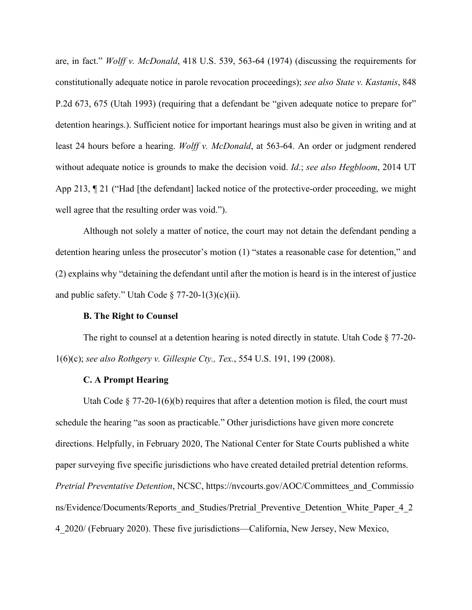are, in fact." *Wolff v. McDonald*, 418 U.S. 539, 563-64 (1974) (discussing the requirements for constitutionally adequate notice in parole revocation proceedings); *see also State v. Kastanis*, 848 P.2d 673, 675 (Utah 1993) (requiring that a defendant be "given adequate notice to prepare for" detention hearings.). Sufficient notice for important hearings must also be given in writing and at least 24 hours before a hearing. *Wolff v. McDonald*, at 563-64. An order or judgment rendered without adequate notice is grounds to make the decision void. *Id*.; *see also Hegbloom*, 2014 UT App 213,  $\P$  21 ("Had [the defendant] lacked notice of the protective-order proceeding, we might well agree that the resulting order was void.").

Although not solely a matter of notice, the court may not detain the defendant pending a detention hearing unless the prosecutor's motion (1) "states a reasonable case for detention," and (2) explains why "detaining the defendant until after the motion is heard is in the interest of justice and public safety." Utah Code  $\S 77-20-1(3)(c)(ii)$ .

### **B. The Right to Counsel**

The right to counsel at a detention hearing is noted directly in statute. Utah Code § 77-20- 1(6)(c); *see also Rothgery v. Gillespie Cty., Tex.*, 554 U.S. 191, 199 (2008).

#### **C. A Prompt Hearing**

Utah Code  $\S 77-20-1(6)(b)$  requires that after a detention motion is filed, the court must schedule the hearing "as soon as practicable." Other jurisdictions have given more concrete directions. Helpfully, in February 2020, The National Center for State Courts published a white paper surveying five specific jurisdictions who have created detailed pretrial detention reforms. *Pretrial Preventative Detention*, NCSC, https://nvcourts.gov/AOC/Committees\_and\_Commissio ns/Evidence/Documents/Reports\_and\_Studies/Pretrial\_Preventive\_Detention\_White\_Paper\_4\_2 4\_2020/ (February 2020). These five jurisdictions—California, New Jersey, New Mexico,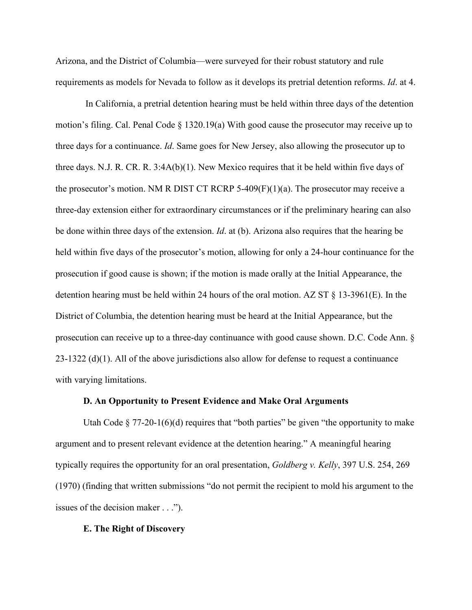Arizona, and the District of Columbia—were surveyed for their robust statutory and rule requirements as models for Nevada to follow as it develops its pretrial detention reforms. *Id*. at 4.

In California, a pretrial detention hearing must be held within three days of the detention motion's filing. Cal. Penal Code § 1320.19(a) With good cause the prosecutor may receive up to three days for a continuance. *Id*. Same goes for New Jersey, also allowing the prosecutor up to three days. N.J. R. CR. R.  $3:4A(b)(1)$ . New Mexico requires that it be held within five days of the prosecutor's motion. NM R DIST CT RCRP 5-409 $(F)(1)(a)$ . The prosecutor may receive a three-day extension either for extraordinary circumstances or if the preliminary hearing can also be done within three days of the extension. *Id*. at (b). Arizona also requires that the hearing be held within five days of the prosecutor's motion, allowing for only a 24-hour continuance for the prosecution if good cause is shown; if the motion is made orally at the Initial Appearance, the detention hearing must be held within 24 hours of the oral motion. AZ ST  $\S$  13-3961(E). In the District of Columbia, the detention hearing must be heard at the Initial Appearance, but the prosecution can receive up to a three-day continuance with good cause shown. D.C. Code Ann. § 23-1322 (d)(1). All of the above jurisdictions also allow for defense to request a continuance with varying limitations.

# **D. An Opportunity to Present Evidence and Make Oral Arguments**

Utah Code  $\S 77-20-1(6)(d)$  requires that "both parties" be given "the opportunity to make argument and to present relevant evidence at the detention hearing." A meaningful hearing typically requires the opportunity for an oral presentation, *Goldberg v. Kelly*, 397 U.S. 254, 269 (1970) (finding that written submissions "do not permit the recipient to mold his argument to the issues of the decision maker . . .").

#### **E. The Right of Discovery**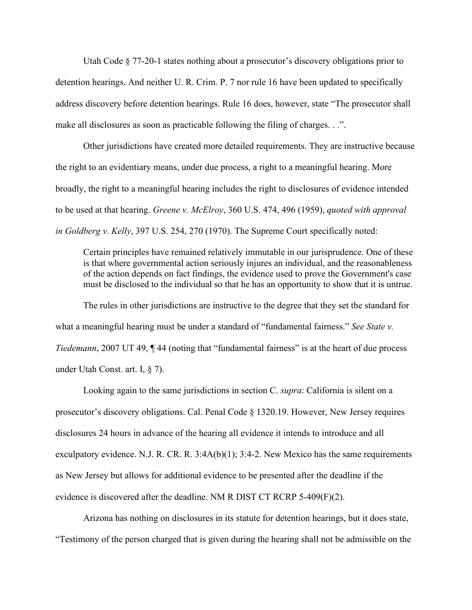Utah Code § 77-20-1 states nothing about a prosecutor's discovery obligations prior to detention hearings. And neither U. R. Crim. P. 7 nor rule 16 have been updated to specifically address discovery before detention hearings. Rule 16 does, however, state "The prosecutor shall make all disclosures as soon as practicable following the filing of charges. . .".

Other jurisdictions have created more detailed requirements. They are instructive because the right to an evidentiary means, under due process, a right to a meaningful hearing. More broadly, the right to a meaningful hearing includes the right to disclosures of evidence intended to be used at that hearing. *Greene v. McElroy*, 360 U.S. 474, 496 (1959), *quoted with approval in Goldberg v. Kelly*, 397 U.S. 254, 270 (1970). The Supreme Court specifically noted:

Certain principles have remained relatively immutable in our jurisprudence. One of these is that where governmental action seriously injures an individual, and the reasonableness of the action depends on fact findings, the evidence used to prove the Government's case must be disclosed to the individual so that he has an opportunity to show that it is untrue.

The rules in other jurisdictions are instructive to the degree that they set the standard for what a meaningful hearing must be under a standard of "fundamental fairness." *See State v. Tiedemann*, 2007 UT 49, ¶ 44 (noting that "fundamental fairness" is at the heart of due process under Utah Const. art. I, § 7).

Looking again to the same jurisdictions in section C. *supra*: California is silent on a prosecutor's discovery obligations. Cal. Penal Code § 1320.19. However, New Jersey requires disclosures 24 hours in advance of the hearing all evidence it intends to introduce and all exculpatory evidence. N.J. R. CR. R.  $3:4A(b)(1); 3:4-2$ . New Mexico has the same requirements as New Jersey but allows for additional evidence to be presented after the deadline if the evidence is discovered after the deadline. NM R DIST CT RCRP 5-409(F)(2).

Arizona has nothing on disclosures in its statute for detention hearings, but it does state, "Testimony of the person charged that is given during the hearing shall not be admissible on the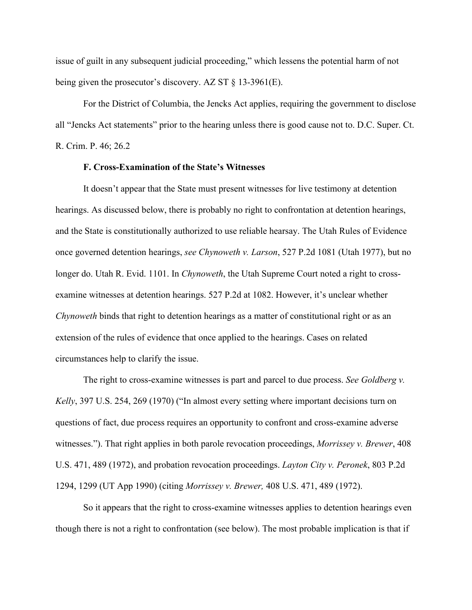issue of guilt in any subsequent judicial proceeding," which lessens the potential harm of not being given the prosecutor's discovery. AZ ST  $\S$  13-3961(E).

For the District of Columbia, the Jencks Act applies, requiring the government to disclose all "Jencks Act statements" prior to the hearing unless there is good cause not to. D.C. Super. Ct. R. Crim. P. 46; 26.2

## **F. Cross-Examination of the State's Witnesses**

It doesn't appear that the State must present witnesses for live testimony at detention hearings. As discussed below, there is probably no right to confrontation at detention hearings, and the State is constitutionally authorized to use reliable hearsay. The Utah Rules of Evidence once governed detention hearings, *see Chynoweth v. Larson*, 527 P.2d 1081 (Utah 1977), but no longer do. Utah R. Evid. 1101. In *Chynoweth*, the Utah Supreme Court noted a right to crossexamine witnesses at detention hearings. 527 P.2d at 1082. However, it's unclear whether *Chynoweth* binds that right to detention hearings as a matter of constitutional right or as an extension of the rules of evidence that once applied to the hearings. Cases on related circumstances help to clarify the issue.

The right to cross-examine witnesses is part and parcel to due process. *See Goldberg v. Kelly*, 397 U.S. 254, 269 (1970) ("In almost every setting where important decisions turn on questions of fact, due process requires an opportunity to confront and cross-examine adverse witnesses."). That right applies in both parole revocation proceedings, *Morrissey v. Brewer*, 408 U.S. 471, 489 (1972), and probation revocation proceedings. *Layton City v. Peronek*, 803 P.2d 1294, 1299 (UT App 1990) (citing *Morrissey v. Brewer,* 408 U.S. 471, 489 (1972).

So it appears that the right to cross-examine witnesses applies to detention hearings even though there is not a right to confrontation (see below). The most probable implication is that if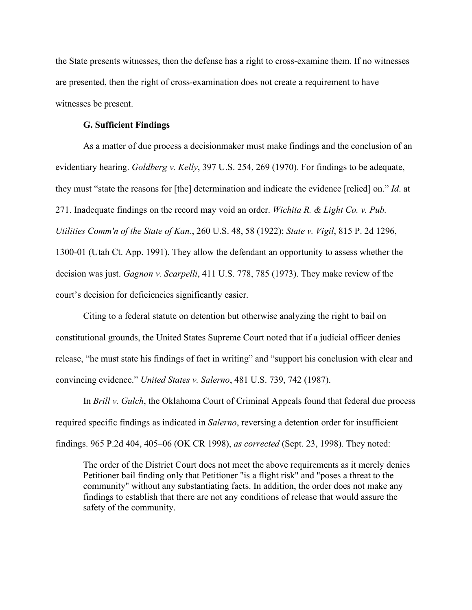the State presents witnesses, then the defense has a right to cross-examine them. If no witnesses are presented, then the right of cross-examination does not create a requirement to have witnesses be present.

# **G. Sufficient Findings**

As a matter of due process a decisionmaker must make findings and the conclusion of an evidentiary hearing. *Goldberg v. Kelly*, 397 U.S. 254, 269 (1970). For findings to be adequate, they must "state the reasons for [the] determination and indicate the evidence [relied] on." *Id*. at 271. Inadequate findings on the record may void an order. *Wichita R. & Light Co. v. Pub. Utilities Comm'n of the State of Kan.*, 260 U.S. 48, 58 (1922); *State v. Vigil*, 815 P. 2d 1296, 1300-01 (Utah Ct. App. 1991). They allow the defendant an opportunity to assess whether the decision was just. *Gagnon v. Scarpelli*, 411 U.S. 778, 785 (1973). They make review of the court's decision for deficiencies significantly easier.

Citing to a federal statute on detention but otherwise analyzing the right to bail on constitutional grounds, the United States Supreme Court noted that if a judicial officer denies release, "he must state his findings of fact in writing" and "support his conclusion with clear and convincing evidence." *United States v. Salerno*, 481 U.S. 739, 742 (1987).

In *Brill v. Gulch*, the Oklahoma Court of Criminal Appeals found that federal due process required specific findings as indicated in *Salerno*, reversing a detention order for insufficient findings. 965 P.2d 404, 405–06 (OK CR 1998), *as corrected* (Sept. 23, 1998). They noted:

The order of the District Court does not meet the above requirements as it merely denies Petitioner bail finding only that Petitioner "is a flight risk" and "poses a threat to the community" without any substantiating facts. In addition, the order does not make any findings to establish that there are not any conditions of release that would assure the safety of the community.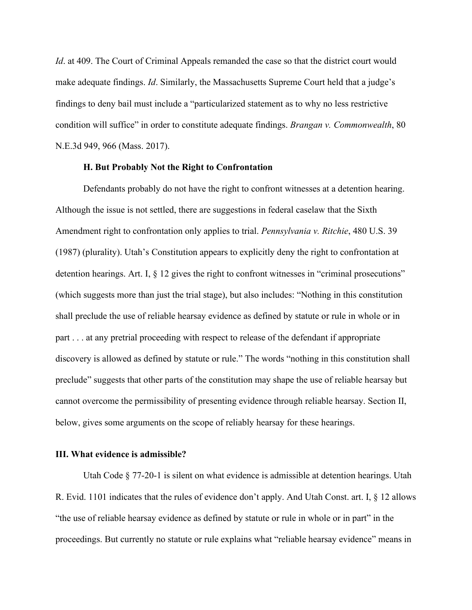*Id*. at 409. The Court of Criminal Appeals remanded the case so that the district court would make adequate findings. *Id*. Similarly, the Massachusetts Supreme Court held that a judge's findings to deny bail must include a "particularized statement as to why no less restrictive condition will suffice" in order to constitute adequate findings. *Brangan v. Commonwealth*, 80 N.E.3d 949, 966 (Mass. 2017).

# **H. But Probably Not the Right to Confrontation**

Defendants probably do not have the right to confront witnesses at a detention hearing. Although the issue is not settled, there are suggestions in federal caselaw that the Sixth Amendment right to confrontation only applies to trial. *Pennsylvania v. Ritchie*, 480 U.S. 39 (1987) (plurality). Utah's Constitution appears to explicitly deny the right to confrontation at detention hearings. Art. I, § 12 gives the right to confront witnesses in "criminal prosecutions" (which suggests more than just the trial stage), but also includes: "Nothing in this constitution shall preclude the use of reliable hearsay evidence as defined by statute or rule in whole or in part . . . at any pretrial proceeding with respect to release of the defendant if appropriate discovery is allowed as defined by statute or rule." The words "nothing in this constitution shall preclude" suggests that other parts of the constitution may shape the use of reliable hearsay but cannot overcome the permissibility of presenting evidence through reliable hearsay. Section II, below, gives some arguments on the scope of reliably hearsay for these hearings.

# **III. What evidence is admissible?**

Utah Code § 77-20-1 is silent on what evidence is admissible at detention hearings. Utah R. Evid. 1101 indicates that the rules of evidence don't apply. And Utah Const. art. I, § 12 allows "the use of reliable hearsay evidence as defined by statute or rule in whole or in part" in the proceedings. But currently no statute or rule explains what "reliable hearsay evidence" means in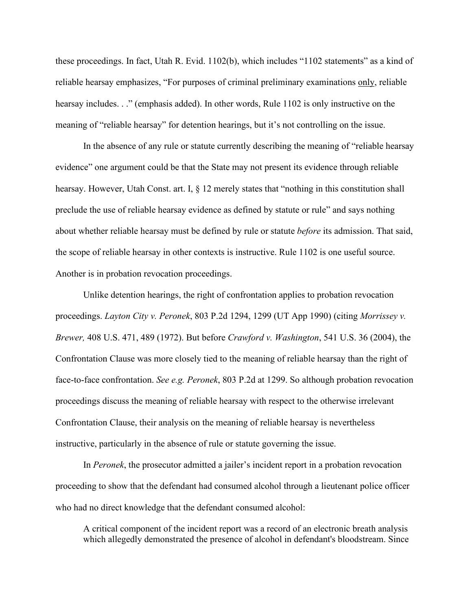these proceedings. In fact, Utah R. Evid. 1102(b), which includes "1102 statements" as a kind of reliable hearsay emphasizes, "For purposes of criminal preliminary examinations only, reliable hearsay includes. . ." (emphasis added). In other words, Rule 1102 is only instructive on the meaning of "reliable hearsay" for detention hearings, but it's not controlling on the issue.

In the absence of any rule or statute currently describing the meaning of "reliable hearsay evidence" one argument could be that the State may not present its evidence through reliable hearsay. However, Utah Const. art. I, § 12 merely states that "nothing in this constitution shall preclude the use of reliable hearsay evidence as defined by statute or rule" and says nothing about whether reliable hearsay must be defined by rule or statute *before* its admission. That said, the scope of reliable hearsay in other contexts is instructive. Rule 1102 is one useful source. Another is in probation revocation proceedings.

Unlike detention hearings, the right of confrontation applies to probation revocation proceedings. *Layton City v. Peronek*, 803 P.2d 1294, 1299 (UT App 1990) (citing *Morrissey v. Brewer,* 408 U.S. 471, 489 (1972). But before *Crawford v. Washington*, 541 U.S. 36 (2004), the Confrontation Clause was more closely tied to the meaning of reliable hearsay than the right of face-to-face confrontation. *See e.g. Peronek*, 803 P.2d at 1299. So although probation revocation proceedings discuss the meaning of reliable hearsay with respect to the otherwise irrelevant Confrontation Clause, their analysis on the meaning of reliable hearsay is nevertheless instructive, particularly in the absence of rule or statute governing the issue.

In *Peronek*, the prosecutor admitted a jailer's incident report in a probation revocation proceeding to show that the defendant had consumed alcohol through a lieutenant police officer who had no direct knowledge that the defendant consumed alcohol:

A critical component of the incident report was a record of an electronic breath analysis which allegedly demonstrated the presence of alcohol in defendant's bloodstream. Since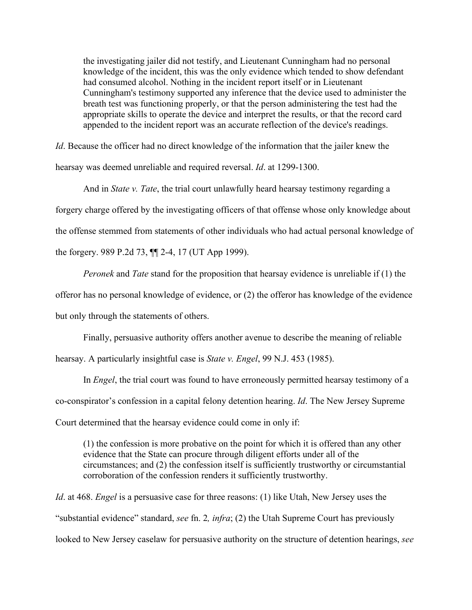the investigating jailer did not testify, and Lieutenant Cunningham had no personal knowledge of the incident, this was the only evidence which tended to show defendant had consumed alcohol. Nothing in the incident report itself or in Lieutenant Cunningham's testimony supported any inference that the device used to administer the breath test was functioning properly, or that the person administering the test had the appropriate skills to operate the device and interpret the results, or that the record card appended to the incident report was an accurate reflection of the device's readings.

*Id*. Because the officer had no direct knowledge of the information that the jailer knew the hearsay was deemed unreliable and required reversal. *Id*. at 1299-1300.

And in *State v. Tate*, the trial court unlawfully heard hearsay testimony regarding a forgery charge offered by the investigating officers of that offense whose only knowledge about the offense stemmed from statements of other individuals who had actual personal knowledge of the forgery. 989 P.2d 73, ¶¶ 2-4, 17 (UT App 1999).

*Peronek* and *Tate* stand for the proposition that hearsay evidence is unreliable if (1) the offeror has no personal knowledge of evidence, or (2) the offeror has knowledge of the evidence

but only through the statements of others.

Finally, persuasive authority offers another avenue to describe the meaning of reliable

hearsay. A particularly insightful case is *State v. Engel*, 99 N.J. 453 (1985).

In *Engel*, the trial court was found to have erroneously permitted hearsay testimony of a co-conspirator's confession in a capital felony detention hearing. *Id*. The New Jersey Supreme Court determined that the hearsay evidence could come in only if:

(1) the confession is more probative on the point for which it is offered than any other evidence that the State can procure through diligent efforts under all of the circumstances; and (2) the confession itself is sufficiently trustworthy or circumstantial corroboration of the confession renders it sufficiently trustworthy.

*Id*. at 468. *Engel* is a persuasive case for three reasons: (1) like Utah, New Jersey uses the "substantial evidence" standard, *see* fn. 2*, infra*; (2) the Utah Supreme Court has previously looked to New Jersey caselaw for persuasive authority on the structure of detention hearings, *see*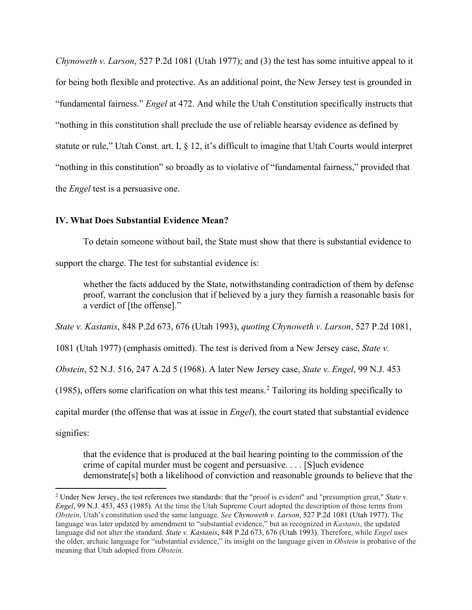*Chynoweth v. Larson*, 527 P.2d 1081 (Utah 1977); and (3) the test has some intuitive appeal to it for being both flexible and protective. As an additional point, the New Jersey test is grounded in "fundamental fairness." *Engel* at 472. And while the Utah Constitution specifically instructs that "nothing in this constitution shall preclude the use of reliable hearsay evidence as defined by statute or rule," Utah Const. art. I, § 12, it's difficult to imagine that Utah Courts would interpret "nothing in this constitution" so broadly as to violative of "fundamental fairness," provided that the *Engel* test is a persuasive one.

# **IV. What Does Substantial Evidence Mean?**

To detain someone without bail, the State must show that there is substantial evidence to support the charge. The test for substantial evidence is:

whether the facts adduced by the State, notwithstanding contradiction of them by defense proof, warrant the conclusion that if believed by a jury they furnish a reasonable basis for a verdict of [the offense]."

*State v. Kastanis*, 848 P.2d 673, 676 (Utah 1993), *quoting Chynoweth v. Larson*, 527 P.2d 1081,

1081 (Utah 1977) (emphasis omitted). The test is derived from a New Jersey case, *State v.* 

*Obstein*, 52 N.J. 516, 247 A.2d 5 (1968). A later New Jersey case, *State v. Engel*, 99 N.J. 453

(1985), offers some clarification on what this test means.<sup>[2](#page-11-0)</sup> Tailoring its holding specifically to

capital murder (the offense that was at issue in *Engel*), the court stated that substantial evidence

signifies:

that the evidence that is produced at the bail hearing pointing to the commission of the crime of capital murder must be cogent and persuasive. . . . [S]uch evidence demonstrate[s] both a likelihood of conviction and reasonable grounds to believe that the

<span id="page-11-0"></span><sup>2</sup> Under New Jersey, the test references two standards: that the "proof is evident" and "presumption great," *State v. Engel*, 99 N.J. 453, 453 (1985). At the time the Utah Supreme Court adopted the description of those terms from *Obstein*, Utah's constitution used the same language. *See Chynoweth v. Larson*, 527 P.2d 1081 (Utah 1977). The language was later updated by amendment to "substantial evidence," but as recognized in *Kastanis*, the updated language did not alter the standard. *State v. Kastanis*, 848 P.2d 673, 676 (Utah 1993). Therefore, while *Engel* uses the older, archaic language for "substantial evidence," its insight on the language given in *Obstein* is probative of the meaning that Utah adopted from *Obstein*.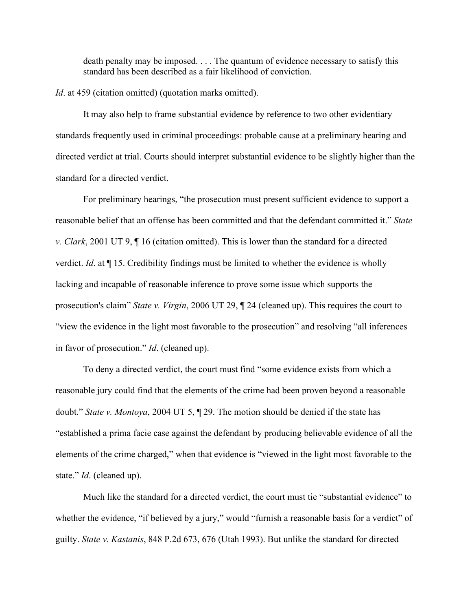death penalty may be imposed. . . . The quantum of evidence necessary to satisfy this standard has been described as a fair likelihood of conviction.

*Id*. at 459 (citation omitted) (quotation marks omitted).

It may also help to frame substantial evidence by reference to two other evidentiary standards frequently used in criminal proceedings: probable cause at a preliminary hearing and directed verdict at trial. Courts should interpret substantial evidence to be slightly higher than the standard for a directed verdict.

For preliminary hearings, "the prosecution must present sufficient evidence to support a reasonable belief that an offense has been committed and that the defendant committed it." *State v. Clark*, 2001 UT 9, ¶ 16 (citation omitted). This is lower than the standard for a directed verdict. *Id*. at ¶ 15. Credibility findings must be limited to whether the evidence is wholly lacking and incapable of reasonable inference to prove some issue which supports the prosecution's claim" *State v. Virgin*, 2006 UT 29, ¶ 24 (cleaned up). This requires the court to "view the evidence in the light most favorable to the prosecution" and resolving "all inferences in favor of prosecution." *Id*. (cleaned up).

To deny a directed verdict, the court must find "some evidence exists from which a reasonable jury could find that the elements of the crime had been proven beyond a reasonable doubt." *State v. Montoya*, 2004 UT 5, ¶ 29. The motion should be denied if the state has "established a prima facie case against the defendant by producing believable evidence of all the elements of the crime charged," when that evidence is "viewed in the light most favorable to the state." *Id*. (cleaned up).

Much like the standard for a directed verdict, the court must tie "substantial evidence" to whether the evidence, "if believed by a jury," would "furnish a reasonable basis for a verdict" of guilty. *State v. Kastanis*, 848 P.2d 673, 676 (Utah 1993). But unlike the standard for directed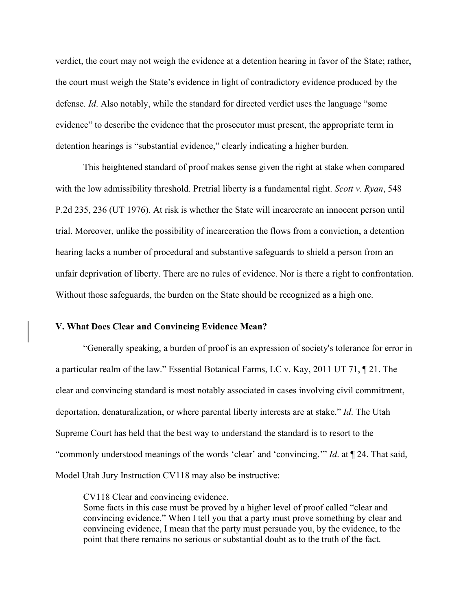verdict, the court may not weigh the evidence at a detention hearing in favor of the State; rather, the court must weigh the State's evidence in light of contradictory evidence produced by the defense. *Id*. Also notably, while the standard for directed verdict uses the language "some evidence" to describe the evidence that the prosecutor must present, the appropriate term in detention hearings is "substantial evidence," clearly indicating a higher burden.

This heightened standard of proof makes sense given the right at stake when compared with the low admissibility threshold. Pretrial liberty is a fundamental right. *Scott v. Ryan*, 548 P.2d 235, 236 (UT 1976). At risk is whether the State will incarcerate an innocent person until trial. Moreover, unlike the possibility of incarceration the flows from a conviction, a detention hearing lacks a number of procedural and substantive safeguards to shield a person from an unfair deprivation of liberty. There are no rules of evidence. Nor is there a right to confrontation. Without those safeguards, the burden on the State should be recognized as a high one.

### **V. What Does Clear and Convincing Evidence Mean?**

"Generally speaking, a burden of proof is an expression of society's tolerance for error in a particular realm of the law." Essential Botanical Farms, LC v. Kay, 2011 UT 71, ¶ 21. The clear and convincing standard is most notably associated in cases involving civil commitment, deportation, denaturalization, or where parental liberty interests are at stake." *Id*. The Utah Supreme Court has held that the best way to understand the standard is to resort to the "commonly understood meanings of the words 'clear' and 'convincing.'" *Id*. at ¶ 24. That said, Model Utah Jury Instruction CV118 may also be instructive:

CV118 Clear and convincing evidence.

Some facts in this case must be proved by a higher level of proof called "clear and convincing evidence." When I tell you that a party must prove something by clear and convincing evidence, I mean that the party must persuade you, by the evidence, to the point that there remains no serious or substantial doubt as to the truth of the fact.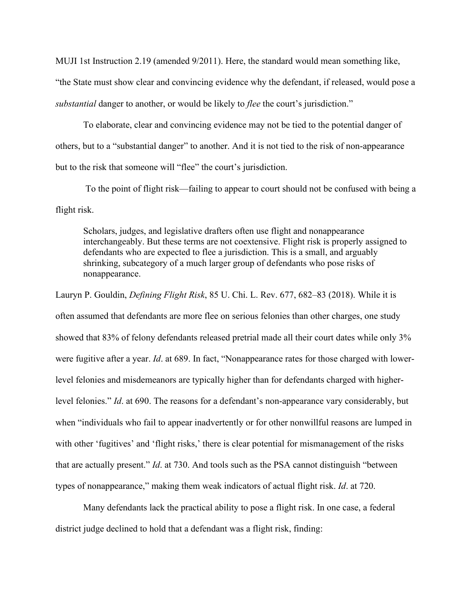MUJI 1st Instruction 2.19 (amended 9/2011). Here, the standard would mean something like, "the State must show clear and convincing evidence why the defendant, if released, would pose a *substantial* danger to another, or would be likely to *flee* the court's jurisdiction."

To elaborate, clear and convincing evidence may not be tied to the potential danger of others, but to a "substantial danger" to another. And it is not tied to the risk of non-appearance but to the risk that someone will "flee" the court's jurisdiction.

To the point of flight risk—failing to appear to court should not be confused with being a flight risk.

Scholars, judges, and legislative drafters often use flight and nonappearance interchangeably. But these terms are not coextensive. Flight risk is properly assigned to defendants who are expected to flee a jurisdiction. This is a small, and arguably shrinking, subcategory of a much larger group of defendants who pose risks of nonappearance.

Lauryn P. Gouldin, *Defining Flight Risk*, 85 U. Chi. L. Rev. 677, 682–83 (2018). While it is often assumed that defendants are more flee on serious felonies than other charges, one study showed that 83% of felony defendants released pretrial made all their court dates while only 3% were fugitive after a year. *Id*. at 689. In fact, "Nonappearance rates for those charged with lowerlevel felonies and misdemeanors are typically higher than for defendants charged with higherlevel felonies." *Id*. at 690. The reasons for a defendant's non-appearance vary considerably, but when "individuals who fail to appear inadvertently or for other nonwillful reasons are lumped in with other 'fugitives' and 'flight risks,' there is clear potential for mismanagement of the risks that are actually present." *Id*. at 730. And tools such as the PSA cannot distinguish "between types of nonappearance," making them weak indicators of actual flight risk. *Id*. at 720.

Many defendants lack the practical ability to pose a flight risk. In one case, a federal district judge declined to hold that a defendant was a flight risk, finding: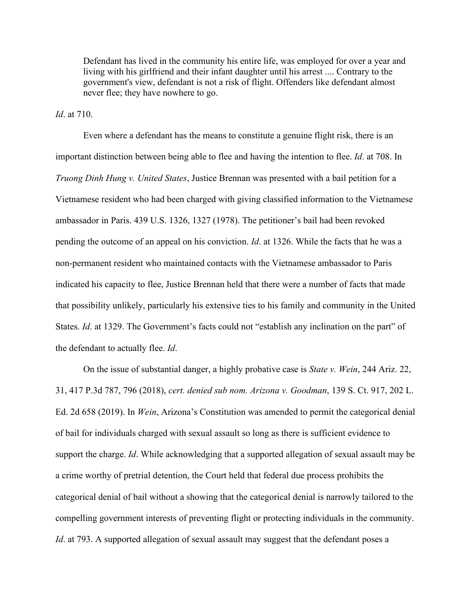Defendant has lived in the community his entire life, was employed for over a year and living with his girlfriend and their infant daughter until his arrest .... Contrary to the government's view, defendant is not a risk of flight. Offenders like defendant almost never flee; they have nowhere to go.

*Id*. at 710.

Even where a defendant has the means to constitute a genuine flight risk, there is an important distinction between being able to flee and having the intention to flee. *Id*. at 708. In *Truong Dinh Hung v. United States*, Justice Brennan was presented with a bail petition for a Vietnamese resident who had been charged with giving classified information to the Vietnamese ambassador in Paris. 439 U.S. 1326, 1327 (1978). The petitioner's bail had been revoked pending the outcome of an appeal on his conviction. *Id*. at 1326. While the facts that he was a non-permanent resident who maintained contacts with the Vietnamese ambassador to Paris indicated his capacity to flee, Justice Brennan held that there were a number of facts that made that possibility unlikely, particularly his extensive ties to his family and community in the United States. *Id.* at 1329. The Government's facts could not "establish any inclination on the part" of the defendant to actually flee. *Id*.

On the issue of substantial danger, a highly probative case is *State v. Wein*, 244 Ariz. 22, 31, 417 P.3d 787, 796 (2018), *cert. denied sub nom. Arizona v. Goodman*, 139 S. Ct. 917, 202 L. Ed. 2d 658 (2019). In *Wein*, Arizona's Constitution was amended to permit the categorical denial of bail for individuals charged with sexual assault so long as there is sufficient evidence to support the charge. *Id*. While acknowledging that a supported allegation of sexual assault may be a crime worthy of pretrial detention, the Court held that federal due process prohibits the categorical denial of bail without a showing that the categorical denial is narrowly tailored to the compelling government interests of preventing flight or protecting individuals in the community. *Id.* at 793. A supported allegation of sexual assault may suggest that the defendant poses a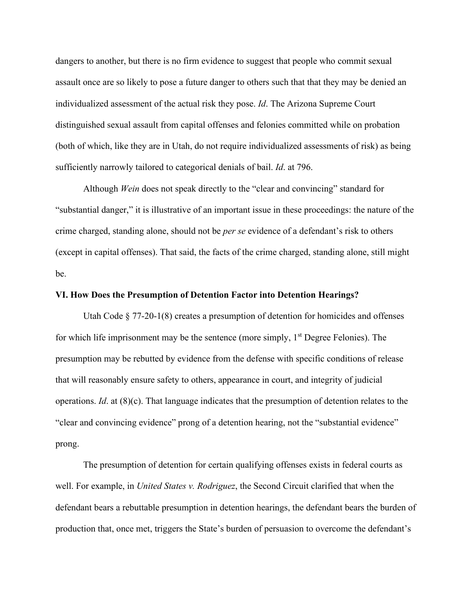dangers to another, but there is no firm evidence to suggest that people who commit sexual assault once are so likely to pose a future danger to others such that that they may be denied an individualized assessment of the actual risk they pose. *Id*. The Arizona Supreme Court distinguished sexual assault from capital offenses and felonies committed while on probation (both of which, like they are in Utah, do not require individualized assessments of risk) as being sufficiently narrowly tailored to categorical denials of bail. *Id*. at 796.

Although *Wein* does not speak directly to the "clear and convincing" standard for "substantial danger," it is illustrative of an important issue in these proceedings: the nature of the crime charged, standing alone, should not be *per se* evidence of a defendant's risk to others (except in capital offenses). That said, the facts of the crime charged, standing alone, still might be.

## **VI. How Does the Presumption of Detention Factor into Detention Hearings?**

Utah Code § 77-20-1(8) creates a presumption of detention for homicides and offenses for which life imprisonment may be the sentence (more simply,  $1<sup>st</sup>$  Degree Felonies). The presumption may be rebutted by evidence from the defense with specific conditions of release that will reasonably ensure safety to others, appearance in court, and integrity of judicial operations. *Id*. at (8)(c). That language indicates that the presumption of detention relates to the "clear and convincing evidence" prong of a detention hearing, not the "substantial evidence" prong.

The presumption of detention for certain qualifying offenses exists in federal courts as well. For example, in *United States v. Rodriguez*, the Second Circuit clarified that when the defendant bears a rebuttable presumption in detention hearings, the defendant bears the burden of production that, once met, triggers the State's burden of persuasion to overcome the defendant's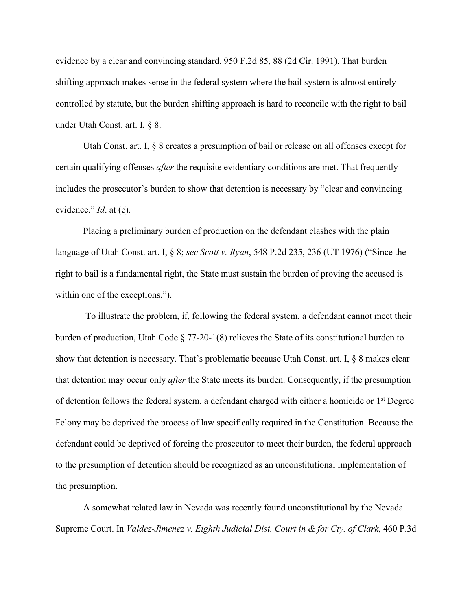evidence by a clear and convincing standard. 950 F.2d 85, 88 (2d Cir. 1991). That burden shifting approach makes sense in the federal system where the bail system is almost entirely controlled by statute, but the burden shifting approach is hard to reconcile with the right to bail under Utah Const. art. I, § 8.

Utah Const. art. I, § 8 creates a presumption of bail or release on all offenses except for certain qualifying offenses *after* the requisite evidentiary conditions are met. That frequently includes the prosecutor's burden to show that detention is necessary by "clear and convincing evidence." *Id*. at (c).

Placing a preliminary burden of production on the defendant clashes with the plain language of Utah Const. art. I, § 8; *see Scott v. Ryan*, 548 P.2d 235, 236 (UT 1976) ("Since the right to bail is a fundamental right, the State must sustain the burden of proving the accused is within one of the exceptions.").

To illustrate the problem, if, following the federal system, a defendant cannot meet their burden of production, Utah Code § 77-20-1(8) relieves the State of its constitutional burden to show that detention is necessary. That's problematic because Utah Const. art. I, § 8 makes clear that detention may occur only *after* the State meets its burden. Consequently, if the presumption of detention follows the federal system, a defendant charged with either a homicide or 1<sup>st</sup> Degree Felony may be deprived the process of law specifically required in the Constitution. Because the defendant could be deprived of forcing the prosecutor to meet their burden, the federal approach to the presumption of detention should be recognized as an unconstitutional implementation of the presumption.

A somewhat related law in Nevada was recently found unconstitutional by the Nevada Supreme Court. In *Valdez-Jimenez v. Eighth Judicial Dist. Court in & for Cty. of Clark*, 460 P.3d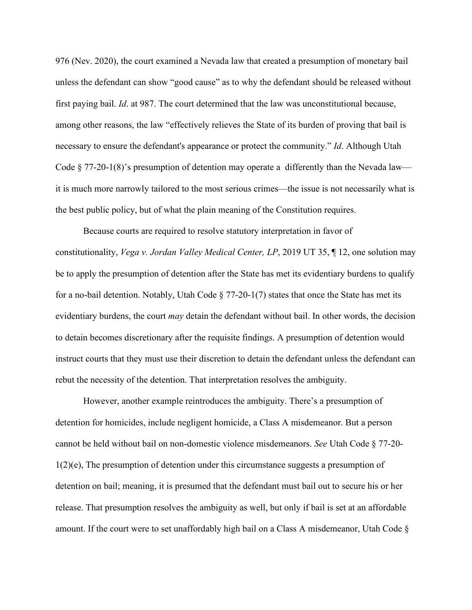976 (Nev. 2020), the court examined a Nevada law that created a presumption of monetary bail unless the defendant can show "good cause" as to why the defendant should be released without first paying bail. *Id*. at 987. The court determined that the law was unconstitutional because, among other reasons, the law "effectively relieves the State of its burden of proving that bail is necessary to ensure the defendant's appearance or protect the community." *Id*. Although Utah Code  $\S 77-20-1(8)$ 's presumption of detention may operate a differently than the Nevada law it is much more narrowly tailored to the most serious crimes—the issue is not necessarily what is the best public policy, but of what the plain meaning of the Constitution requires.

Because courts are required to resolve statutory interpretation in favor of constitutionality, *Vega v. Jordan Valley Medical Center, LP*, 2019 UT 35, ¶ 12, one solution may be to apply the presumption of detention after the State has met its evidentiary burdens to qualify for a no-bail detention. Notably, Utah Code  $\S$  77-20-1(7) states that once the State has met its evidentiary burdens, the court *may* detain the defendant without bail. In other words, the decision to detain becomes discretionary after the requisite findings. A presumption of detention would instruct courts that they must use their discretion to detain the defendant unless the defendant can rebut the necessity of the detention. That interpretation resolves the ambiguity.

However, another example reintroduces the ambiguity. There's a presumption of detention for homicides, include negligent homicide, a Class A misdemeanor. But a person cannot be held without bail on non-domestic violence misdemeanors. *See* Utah Code § 77-20-  $1(2)(e)$ , The presumption of detention under this circumstance suggests a presumption of detention on bail; meaning, it is presumed that the defendant must bail out to secure his or her release. That presumption resolves the ambiguity as well, but only if bail is set at an affordable amount. If the court were to set unaffordably high bail on a Class A misdemeanor, Utah Code  $\S$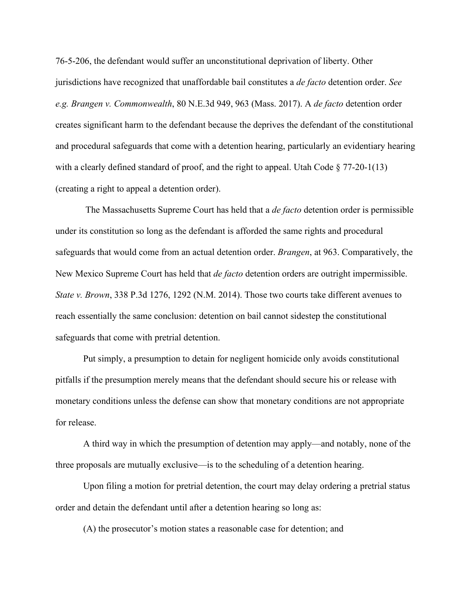76-5-206, the defendant would suffer an unconstitutional deprivation of liberty. Other jurisdictions have recognized that unaffordable bail constitutes a *de facto* detention order. *See e.g. Brangen v. Commonwealth*, 80 N.E.3d 949, 963 (Mass. 2017). A *de facto* detention order creates significant harm to the defendant because the deprives the defendant of the constitutional and procedural safeguards that come with a detention hearing, particularly an evidentiary hearing with a clearly defined standard of proof, and the right to appeal. Utah Code  $\S 77-20-1(13)$ (creating a right to appeal a detention order).

The Massachusetts Supreme Court has held that a *de facto* detention order is permissible under its constitution so long as the defendant is afforded the same rights and procedural safeguards that would come from an actual detention order. *Brangen*, at 963. Comparatively, the New Mexico Supreme Court has held that *de facto* detention orders are outright impermissible. *State v. Brown*, 338 P.3d 1276, 1292 (N.M. 2014). Those two courts take different avenues to reach essentially the same conclusion: detention on bail cannot sidestep the constitutional safeguards that come with pretrial detention.

Put simply, a presumption to detain for negligent homicide only avoids constitutional pitfalls if the presumption merely means that the defendant should secure his or release with monetary conditions unless the defense can show that monetary conditions are not appropriate for release.

A third way in which the presumption of detention may apply—and notably, none of the three proposals are mutually exclusive—is to the scheduling of a detention hearing.

Upon filing a motion for pretrial detention, the court may delay ordering a pretrial status order and detain the defendant until after a detention hearing so long as:

(A) the prosecutor's motion states a reasonable case for detention; and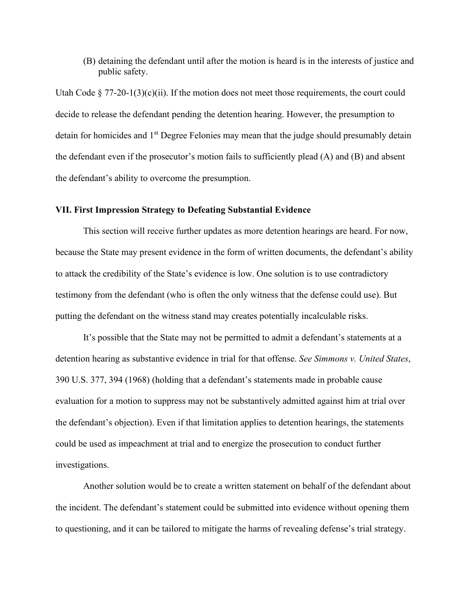(B) detaining the defendant until after the motion is heard is in the interests of justice and public safety.

Utah Code  $\S 77-20-1(3)(c)(ii)$ . If the motion does not meet those requirements, the court could decide to release the defendant pending the detention hearing. However, the presumption to detain for homicides and 1<sup>st</sup> Degree Felonies may mean that the judge should presumably detain the defendant even if the prosecutor's motion fails to sufficiently plead (A) and (B) and absent the defendant's ability to overcome the presumption.

## **VII. First Impression Strategy to Defeating Substantial Evidence**

This section will receive further updates as more detention hearings are heard. For now, because the State may present evidence in the form of written documents, the defendant's ability to attack the credibility of the State's evidence is low. One solution is to use contradictory testimony from the defendant (who is often the only witness that the defense could use). But putting the defendant on the witness stand may creates potentially incalculable risks.

It's possible that the State may not be permitted to admit a defendant's statements at a detention hearing as substantive evidence in trial for that offense. *See Simmons v. United States*, 390 U.S. 377, 394 (1968) (holding that a defendant's statements made in probable cause evaluation for a motion to suppress may not be substantively admitted against him at trial over the defendant's objection). Even if that limitation applies to detention hearings, the statements could be used as impeachment at trial and to energize the prosecution to conduct further investigations.

Another solution would be to create a written statement on behalf of the defendant about the incident. The defendant's statement could be submitted into evidence without opening them to questioning, and it can be tailored to mitigate the harms of revealing defense's trial strategy.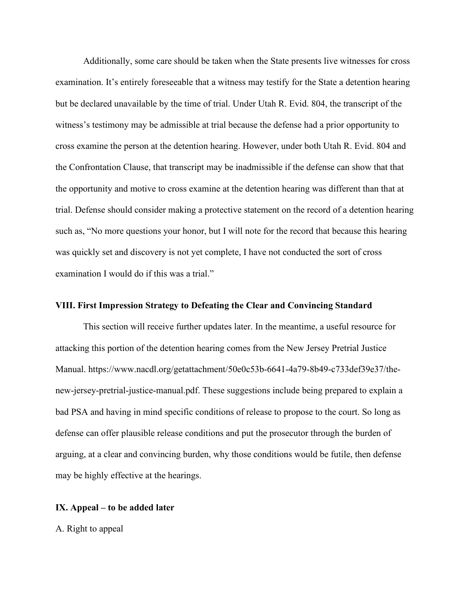Additionally, some care should be taken when the State presents live witnesses for cross examination. It's entirely foreseeable that a witness may testify for the State a detention hearing but be declared unavailable by the time of trial. Under Utah R. Evid. 804, the transcript of the witness's testimony may be admissible at trial because the defense had a prior opportunity to cross examine the person at the detention hearing. However, under both Utah R. Evid. 804 and the Confrontation Clause, that transcript may be inadmissible if the defense can show that that the opportunity and motive to cross examine at the detention hearing was different than that at trial. Defense should consider making a protective statement on the record of a detention hearing such as, "No more questions your honor, but I will note for the record that because this hearing was quickly set and discovery is not yet complete, I have not conducted the sort of cross examination I would do if this was a trial."

## **VIII. First Impression Strategy to Defeating the Clear and Convincing Standard**

This section will receive further updates later. In the meantime, a useful resource for attacking this portion of the detention hearing comes from the New Jersey Pretrial Justice Manual. https://www.nacdl.org/getattachment/50e0c53b-6641-4a79-8b49-c733def39e37/thenew-jersey-pretrial-justice-manual.pdf. These suggestions include being prepared to explain a bad PSA and having in mind specific conditions of release to propose to the court. So long as defense can offer plausible release conditions and put the prosecutor through the burden of arguing, at a clear and convincing burden, why those conditions would be futile, then defense may be highly effective at the hearings.

# **IX. Appeal – to be added later**

A. Right to appeal